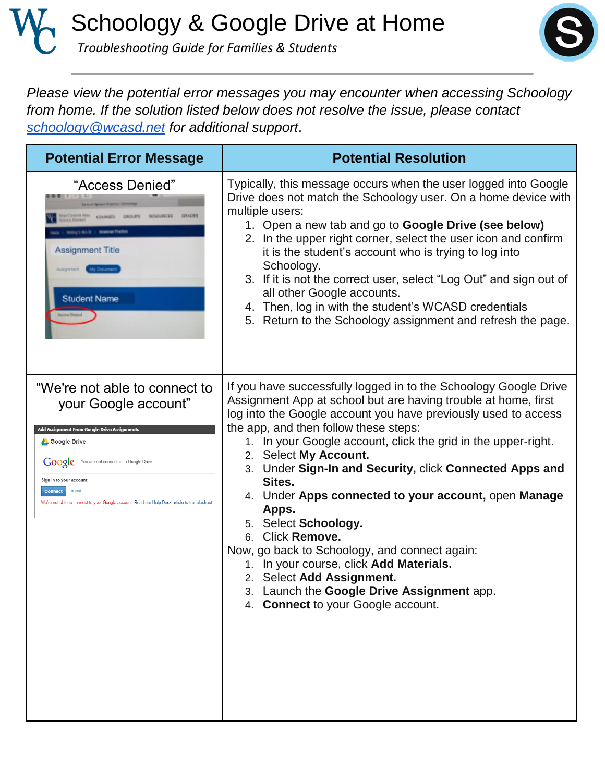Schoology & Google Drive at Home  *Troubleshooting Guide for Families & Students*



*Please view the potential error messages you may encounter when accessing Schoology from home. If the solution listed below does not resolve the issue, please contact [schoology@wcasd.net](mailto:schoology@wcasd.net) for additional support*.

| <b>Potential Error Message</b>                                                                                                                                                                                                                                                                                                     | <b>Potential Resolution</b>                                                                                                                                                                                                                                                                                                                                                                                                                                                                                                                                                                                                                                                                                                            |
|------------------------------------------------------------------------------------------------------------------------------------------------------------------------------------------------------------------------------------------------------------------------------------------------------------------------------------|----------------------------------------------------------------------------------------------------------------------------------------------------------------------------------------------------------------------------------------------------------------------------------------------------------------------------------------------------------------------------------------------------------------------------------------------------------------------------------------------------------------------------------------------------------------------------------------------------------------------------------------------------------------------------------------------------------------------------------------|
| "Access Denied"<br><b>Assignment Title</b><br><b>Student Name</b>                                                                                                                                                                                                                                                                  | Typically, this message occurs when the user logged into Google<br>Drive does not match the Schoology user. On a home device with<br>multiple users:<br>1. Open a new tab and go to <b>Google Drive (see below)</b><br>2. In the upper right corner, select the user icon and confirm<br>it is the student's account who is trying to log into<br>Schoology.<br>3. If it is not the correct user, select "Log Out" and sign out of<br>all other Google accounts.<br>4. Then, log in with the student's WCASD credentials<br>5. Return to the Schoology assignment and refresh the page.                                                                                                                                                |
| "We're not able to connect to<br>your Google account"<br>Add Assignment From Google Drive Assignments<br><b>Google Drive</b><br>Google You are not connected to Google Drive<br>Sign in to your account:<br><b>Connect</b> Logout<br>We're not able to connect to your Google account. Read our Help Desk article to troubleshoot. | If you have successfully logged in to the Schoology Google Drive<br>Assignment App at school but are having trouble at home, first<br>log into the Google account you have previously used to access<br>the app, and then follow these steps:<br>1. In your Google account, click the grid in the upper-right.<br>2. Select My Account.<br>3. Under Sign-In and Security, click Connected Apps and<br>Sites.<br>4. Under Apps connected to your account, open Manage<br>Apps.<br>5. Select Schoology.<br>6. Click Remove.<br>Now, go back to Schoology, and connect again:<br>1. In your course, click Add Materials.<br>2. Select Add Assignment.<br>3. Launch the Google Drive Assignment app.<br>4. Connect to your Google account. |